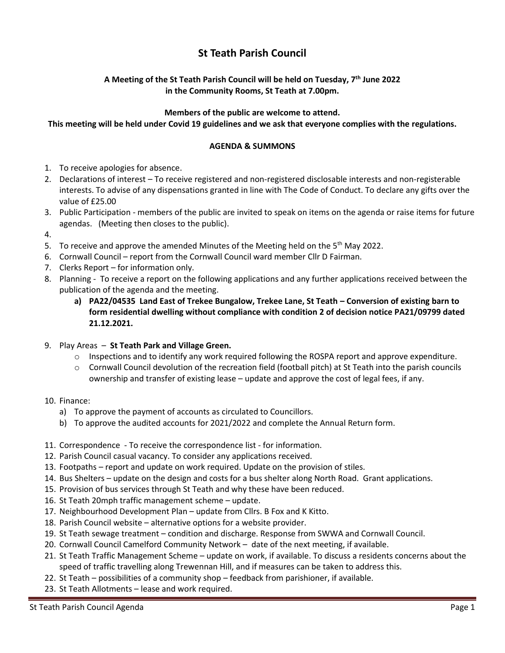## **St Teath Parish Council**

## **A Meeting of the St Teath Parish Council will be held on Tuesday, 7 th June 2022 in the Community Rooms, St Teath at 7.00pm.**

## **Members of the public are welcome to attend.**

**This meeting will be held under Covid 19 guidelines and we ask that everyone complies with the regulations.**

## **AGENDA & SUMMONS**

- 1. To receive apologies for absence.
- 2. Declarations of interest To receive registered and non-registered disclosable interests and non-registerable interests. To advise of any dispensations granted in line with The Code of Conduct. To declare any gifts over the value of £25.00
- 3. Public Participation members of the public are invited to speak on items on the agenda or raise items for future agendas. (Meeting then closes to the public).
- 4.
- 5. To receive and approve the amended Minutes of the Meeting held on the 5<sup>th</sup> May 2022.
- 6. Cornwall Council report from the Cornwall Council ward member Cllr D Fairman.
- 7. Clerks Report for information only.
- 8. Planning To receive a report on the following applications and any further applications received between the publication of the agenda and the meeting.
	- **a) PA22/04535 Land East of Trekee Bungalow, Trekee Lane, St Teath – Conversion of existing barn to form residential dwelling without compliance with condition 2 of decision notice PA21/09799 dated 21.12.2021.**
- 9. Play Areas **St Teath Park and Village Green.**
	- $\circ$  Inspections and to identify any work required following the ROSPA report and approve expenditure.
	- o Cornwall Council devolution of the recreation field (football pitch) at St Teath into the parish councils ownership and transfer of existing lease – update and approve the cost of legal fees, if any.
- 10. Finance:
	- a) To approve the payment of accounts as circulated to Councillors.
	- b) To approve the audited accounts for 2021/2022 and complete the Annual Return form.
- 11. Correspondence To receive the correspondence list for information.
- 12. Parish Council casual vacancy. To consider any applications received.
- 13. Footpaths report and update on work required. Update on the provision of stiles.
- 14. Bus Shelters update on the design and costs for a bus shelter along North Road. Grant applications.
- 15. Provision of bus services through St Teath and why these have been reduced.
- 16. St Teath 20mph traffic management scheme update.
- 17. Neighbourhood Development Plan update from Cllrs. B Fox and K Kitto.
- 18. Parish Council website alternative options for a website provider.
- 19. St Teath sewage treatment condition and discharge. Response from SWWA and Cornwall Council.
- 20. Cornwall Council Camelford Community Network date of the next meeting, if available.
- 21. St Teath Traffic Management Scheme update on work, if available. To discuss a residents concerns about the speed of traffic travelling along Trewennan Hill, and if measures can be taken to address this.
- 22. St Teath possibilities of a community shop feedback from parishioner, if available.
- 23. St Teath Allotments lease and work required.